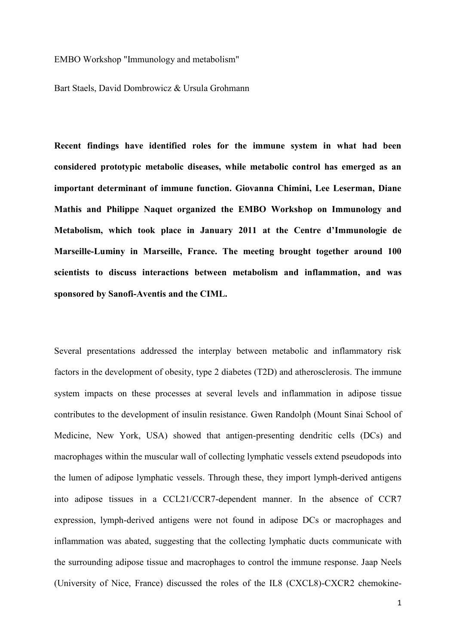EMBO Workshop "Immunology and metabolism"

Bart Staels, David Dombrowicz & Ursula Grohmann

**Recent findings have identified roles for the immune system in what had been considered prototypic metabolic diseases, while metabolic control has emerged as an important determinant of immune function. Giovanna Chimini, Lee Leserman, Diane Mathis and Philippe Naquet organized the EMBO Workshop on Immunology and Metabolism, which took place in January 2011 at the Centre d'Immunologie de Marseille-Luminy in Marseille, France. The meeting brought together around 100 scientists to discuss interactions between metabolism and inflammation, and was sponsored by Sanofi-Aventis and the CIML.**

Several presentations addressed the interplay between metabolic and inflammatory risk factors in the development of obesity, type 2 diabetes (T2D) and atherosclerosis. The immune system impacts on these processes at several levels and inflammation in adipose tissue contributes to the development of insulin resistance. Gwen Randolph (Mount Sinai School of Medicine, New York, USA) showed that antigen-presenting dendritic cells (DCs) and macrophages within the muscular wall of collecting lymphatic vessels extend pseudopods into the lumen of adipose lymphatic vessels. Through these, they import lymph-derived antigens into adipose tissues in a CCL21/CCR7-dependent manner. In the absence of CCR7 expression, lymph-derived antigens were not found in adipose DCs or macrophages and inflammation was abated, suggesting that the collecting lymphatic ducts communicate with the surrounding adipose tissue and macrophages to control the immune response. Jaap Neels (University of Nice, France) discussed the roles of the IL8 (CXCL8)-CXCR2 chemokine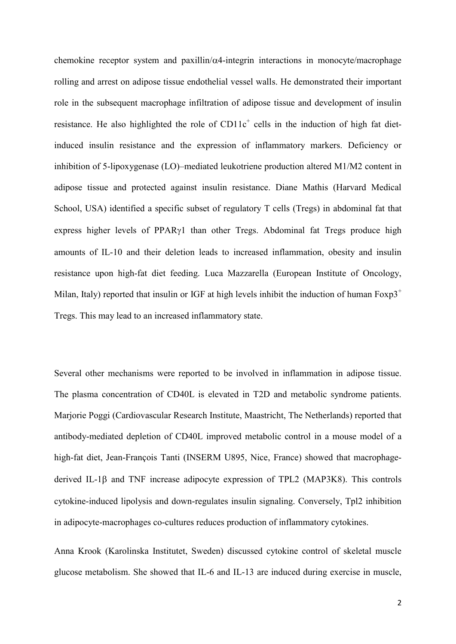chemokine receptor system and paxillin/ $\alpha$ 4-integrin interactions in monocyte/macrophage rolling and arrest on adipose tissue endothelial vessel walls. He demonstrated their important role in the subsequent macrophage infiltration of adipose tissue and development of insulin resistance. He also highlighted the role of  $CD11c<sup>+</sup>$  cells in the induction of high fat dietinduced insulin resistance and the expression of inflammatory markers. Deficiency or inhibition of 5-lipoxygenase (LO)–mediated leukotriene production altered M1/M2 content in adipose tissue and protected against insulin resistance. Diane Mathis (Harvard Medical School, USA) identified a specific subset of regulatory T cells (Tregs) in abdominal fat that express higher levels of PPAR $\gamma$ 1 than other Tregs. Abdominal fat Tregs produce high amounts of IL-10 and their deletion leads to increased inflammation, obesity and insulin resistance upon high-fat diet feeding. Luca Mazzarella (European Institute of Oncology, Milan, Italy) reported that insulin or IGF at high levels inhibit the induction of human  $F\alpha p3^+$ Tregs. This may lead to an increased inflammatory state.

Several other mechanisms were reported to be involved in inflammation in adipose tissue. The plasma concentration of CD40L is elevated in T2D and metabolic syndrome patients. Marjorie Poggi (Cardiovascular Research Institute, Maastricht, The Netherlands) reported that antibody-mediated depletion of CD40L improved metabolic control in a mouse model of a high-fat diet, Jean-François Tanti (INSERM U895, Nice, France) showed that macrophagederived IL-1 $\beta$  and TNF increase adipocyte expression of TPL2 (MAP3K8). This controls cytokine-induced lipolysis and down-regulates insulin signaling. Conversely, Tpl2 inhibition in adipocyte-macrophages co-cultures reduces production of inflammatory cytokines.

Anna Krook (Karolinska Institutet, Sweden) discussed cytokine control of skeletal muscle glucose metabolism. She showed that IL-6 and IL-13 are induced during exercise in muscle,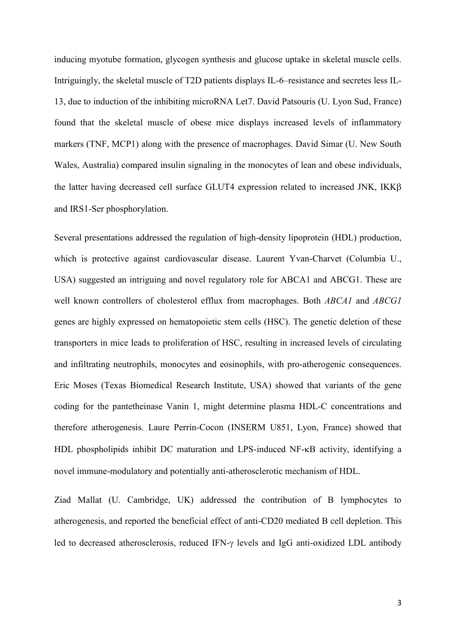inducing myotube formation, glycogen synthesis and glucose uptake in skeletal muscle cells. Intriguingly, the skeletal muscle of T2D patients displays IL-6–resistance and secretes less IL-13, due to induction of the inhibiting microRNA Let7. David Patsouris (U. Lyon Sud, France) found that the skeletal muscle of obese mice displays increased levels of inflammatory markers (TNF, MCP1) along with the presence of macrophages. David Simar (U. New South Wales, Australia) compared insulin signaling in the monocytes of lean and obese individuals, the latter having decreased cell surface GLUT4 expression related to increased JNK, IKK and IRS1-Ser phosphorylation.

Several presentations addressed the regulation of high-density lipoprotein (HDL) production, which is protective against cardiovascular disease. Laurent Yvan-Charvet (Columbia U., USA) suggested an intriguing and novel regulatory role for ABCA1 and ABCG1. These are well known controllers of cholesterol efflux from macrophages. Both *ABCA1* and *ABCG1* genes are highly expressed on hematopoietic stem cells (HSC). The genetic deletion of these transporters in mice leads to proliferation of HSC, resulting in increased levels of circulating and infiltrating neutrophils, monocytes and eosinophils, with pro-atherogenic consequences. Eric Moses (Texas Biomedical Research Institute, USA) showed that variants of the gene coding for the pantetheinase Vanin 1, might determine plasma HDL-C concentrations and therefore atherogenesis. Laure Perrin-Cocon (INSERM U851, Lyon, France) showed that HDL phospholipids inhibit DC maturation and LPS-induced NF-KB activity, identifying a novel immune-modulatory and potentially anti-atherosclerotic mechanism of HDL.

Ziad Mallat (U. Cambridge, UK) addressed the contribution of B lymphocytes to atherogenesis, and reported the beneficial effect of anti-CD20 mediated B cell depletion. This led to decreased atherosclerosis, reduced IFN- $\gamma$  levels and IgG anti-oxidized LDL antibody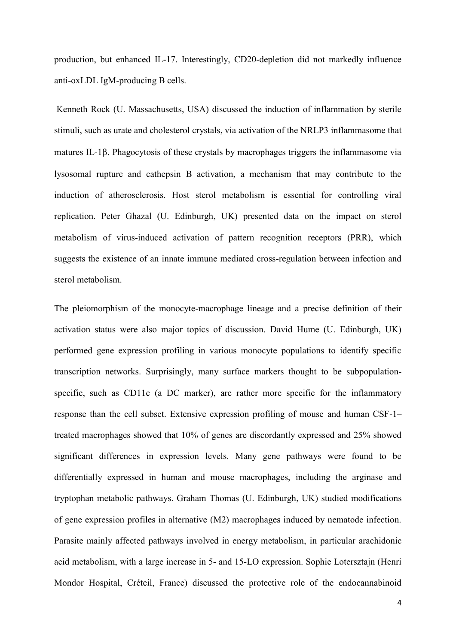production, but enhanced IL-17. Interestingly, CD20-depletion did not markedly influence anti-oxLDL IgM-producing B cells.

Kenneth Rock (U. Massachusetts, USA) discussed the induction of inflammation by sterile stimuli, such as urate and cholesterol crystals, via activation of the NRLP3 inflammasome that matures IL-1 $\beta$ . Phagocytosis of these crystals by macrophages triggers the inflammasome via lysosomal rupture and cathepsin B activation, a mechanism that may contribute to the induction of atherosclerosis. Host sterol metabolism is essential for controlling viral replication. Peter Ghazal (U. Edinburgh, UK) presented data on the impact on sterol metabolism of virus-induced activation of pattern recognition receptors (PRR), which suggests the existence of an innate immune mediated cross-regulation between infection and sterol metabolism.

The pleiomorphism of the monocyte-macrophage lineage and a precise definition of their activation status were also major topics of discussion. David Hume (U. Edinburgh, UK) performed gene expression profiling in various monocyte populations to identify specific transcription networks. Surprisingly, many surface markers thought to be subpopulationspecific, such as CD11c (a DC marker), are rather more specific for the inflammatory response than the cell subset. Extensive expression profiling of mouse and human CSF-1– treated macrophages showed that 10% of genes are discordantly expressed and 25% showed significant differences in expression levels. Many gene pathways were found to be differentially expressed in human and mouse macrophages, including the arginase and tryptophan metabolic pathways. Graham Thomas (U. Edinburgh, UK) studied modifications of gene expression profiles in alternative (M2) macrophages induced by nematode infection. Parasite mainly affected pathways involved in energy metabolism, in particular arachidonic acid metabolism, with a large increase in 5- and 15-LO expression. Sophie Lotersztajn (Henri Mondor Hospital, Créteil, France) discussed the protective role of the endocannabinoid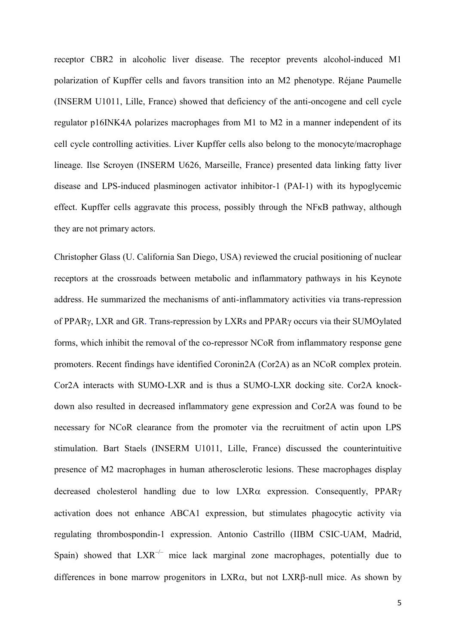receptor CBR2 in alcoholic liver disease. The receptor prevents alcohol-induced M1 polarization of Kupffer cells and favors transition into an M2 phenotype. Réjane Paumelle (INSERM U1011, Lille, France) showed that deficiency of the anti-oncogene and cell cycle regulator p16INK4A polarizes macrophages from M1 to M2 in a manner independent of its cell cycle controlling activities. Liver Kupffer cells also belong to the monocyte/macrophage lineage. Ilse Scroyen (INSERM U626, Marseille, France) presented data linking fatty liver disease and LPS-induced plasminogen activator inhibitor-1 (PAI-1) with its hypoglycemic effect. Kupffer cells aggravate this process, possibly through the NFκB pathway, although they are not primary actors.

Christopher Glass (U. California San Diego, USA) reviewed the crucial positioning of nuclear receptors at the crossroads between metabolic and inflammatory pathways in his Keynote address. He summarized the mechanisms of anti-inflammatory activities via trans-repression of PPAR<sub>Y</sub>, LXR and GR. Trans-repression by LXRs and PPAR<sub>Y</sub> occurs via their SUMOylated forms, which inhibit the removal of the co-repressor NCoR from inflammatory response gene promoters. Recent findings have identified Coronin2A (Cor2A) as an NCoR complex protein. Cor2A interacts with SUMO-LXR and is thus a SUMO-LXR docking site. Cor2A knockdown also resulted in decreased inflammatory gene expression and Cor2A was found to be necessary for NCoR clearance from the promoter via the recruitment of actin upon LPS stimulation. Bart Staels (INSERM U1011, Lille, France) discussed the counterintuitive presence of M2 macrophages in human atherosclerotic lesions. These macrophages display decreased cholesterol handling due to low  $LXR\alpha$  expression. Consequently, PPAR $\gamma$ activation does not enhance ABCA1 expression, but stimulates phagocytic activity via regulating thrombospondin-1 expression. Antonio Castrillo (IIBM CSIC-UAM, Madrid, Spain) showed that  $LXR^{-/-}$  mice lack marginal zone macrophages, potentially due to differences in bone marrow progenitors in  $LXR_{\alpha}$ , but not  $LXR_{\beta}$ -null mice. As shown by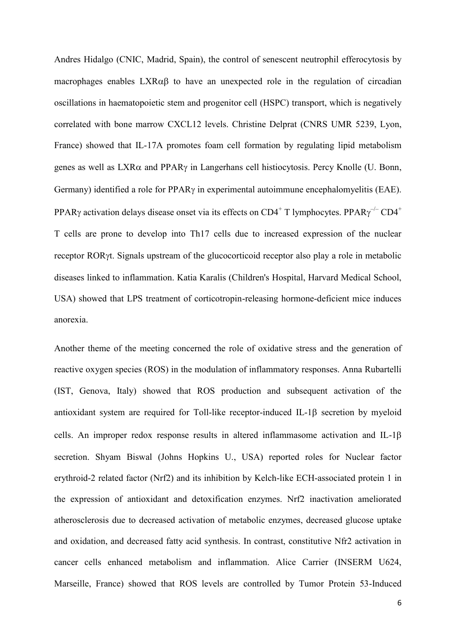Andres Hidalgo (CNIC, Madrid, Spain), the control of senescent neutrophil efferocytosis by macrophages enables  $LXR\alpha\beta$  to have an unexpected role in the regulation of circadian oscillations in haematopoietic stem and progenitor cell (HSPC) transport, which is negatively correlated with bone marrow CXCL12 levels. Christine Delprat (CNRS UMR 5239, Lyon, France) showed that IL-17A promotes foam cell formation by regulating lipid metabolism genes as well as  $LXR\alpha$  and PPAR $\gamma$  in Langerhans cell histiocytosis. Percy Knolle (U. Bonn, Germany) identified a role for  $PPAR\gamma$  in experimental autoimmune encephalomyelitis (EAE). PPARy activation delays disease onset via its effects on CD4<sup>+</sup> T lymphocytes. PPAR $\gamma$ <sup>-/-</sup> CD4<sup>+</sup> T cells are prone to develop into Th17 cells due to increased expression of the nuclear receptor ROR<sub>V</sub>t. Signals upstream of the glucocorticoid receptor also play a role in metabolic diseases linked to inflammation. Katia Karalis (Children's Hospital, Harvard Medical School, USA) showed that LPS treatment of corticotropin-releasing hormone-deficient mice induces anorexia.

Another theme of the meeting concerned the role of oxidative stress and the generation of reactive oxygen species (ROS) in the modulation of inflammatory responses. Anna Rubartelli (IST, Genova, Italy) showed that ROS production and subsequent activation of the antioxidant system are required for Toll-like receptor-induced IL-1 $\beta$  secretion by myeloid cells. An improper redox response results in altered inflammasome activation and IL-1 secretion. Shyam Biswal (Johns Hopkins U., USA) reported roles for Nuclear factor erythroid-2 related factor (Nrf2) and its inhibition by Kelch-like ECH-associated protein 1 in the expression of antioxidant and detoxification enzymes. Nrf2 inactivation ameliorated atherosclerosis due to decreased activation of metabolic enzymes, decreased glucose uptake and oxidation, and decreased fatty acid synthesis. In contrast, constitutive Nfr2 activation in cancer cells enhanced metabolism and inflammation. Alice Carrier (INSERM U624, Marseille, France) showed that ROS levels are controlled by Tumor Protein 53-Induced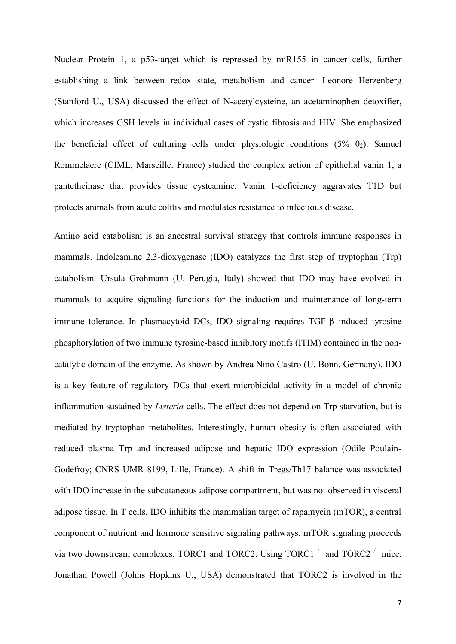Nuclear Protein 1, a p53-target which is repressed by miR155 in cancer cells, further establishing a link between redox state, metabolism and cancer. Leonore Herzenberg (Stanford U., USA) discussed the effect of N-acetylcysteine, an acetaminophen detoxifier, which increases GSH levels in individual cases of cystic fibrosis and HIV. She emphasized the beneficial effect of culturing cells under physiologic conditions  $(5\% 0_2)$ . Samuel Rommelaere (CIML, Marseille. France) studied the complex action of epithelial vanin 1, a pantetheinase that provides tissue cysteamine. Vanin 1-deficiency aggravates T1D but protects animals from acute colitis and modulates resistance to infectious disease.

Amino acid catabolism is an ancestral survival strategy that controls immune responses in mammals. Indoleamine 2,3-dioxygenase (IDO) catalyzes the first step of tryptophan (Trp) catabolism. Ursula Grohmann (U. Perugia, Italy) showed that IDO may have evolved in mammals to acquire signaling functions for the induction and maintenance of long-term immune tolerance. In plasmacytoid DCs, IDO signaling requires TGF- $\beta$ -induced tyrosine phosphorylation of two immune tyrosine-based inhibitory motifs (ITIM) contained in the noncatalytic domain of the enzyme. As shown by Andrea Nino Castro (U. Bonn, Germany), IDO is a key feature of regulatory DCs that exert microbicidal activity in a model of chronic inflammation sustained by *Listeria* cells. The effect does not depend on Trp starvation, but is mediated by tryptophan metabolites. Interestingly, human obesity is often associated with reduced plasma Trp and increased adipose and hepatic IDO expression (Odile Poulain-Godefroy; CNRS UMR 8199, Lille, France). A shift in Tregs/Th17 balance was associated with IDO increase in the subcutaneous adipose compartment, but was not observed in visceral adipose tissue. In T cells, IDO inhibits the mammalian target of rapamycin (mTOR), a central component of nutrient and hormone sensitive signaling pathways. mTOR signaling proceeds via two downstream complexes, TORC1 and TORC2. Using  $TORCI^{-/-}$  and  $TORC2^{-/-}$  mice, Jonathan Powell (Johns Hopkins U., USA) demonstrated that TORC2 is involved in the